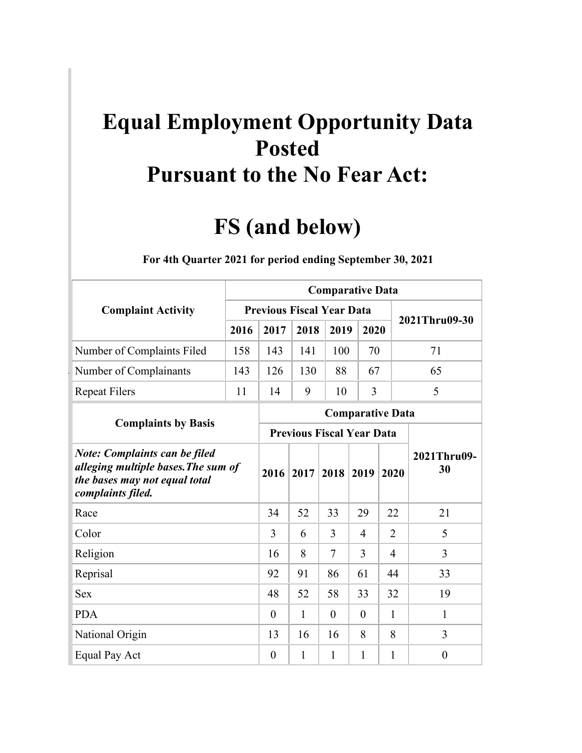## **Equal Employment Opportunity Data Posted Pursuant to the No Fear Act:**

## **FS (and below)**

|                                                                                                                                   |      | <b>Comparative Data</b>          |      |                         |                |                |                   |  |  |  |  |  |  |
|-----------------------------------------------------------------------------------------------------------------------------------|------|----------------------------------|------|-------------------------|----------------|----------------|-------------------|--|--|--|--|--|--|
| <b>Complaint Activity</b>                                                                                                         |      | <b>Previous Fiscal Year Data</b> |      |                         |                |                | 2021Thru09-30     |  |  |  |  |  |  |
|                                                                                                                                   | 2016 | 2017                             | 2018 | 2019                    | 2020           |                |                   |  |  |  |  |  |  |
| Number of Complaints Filed                                                                                                        | 158  | 143                              | 141  | 100                     | 70             |                | 71                |  |  |  |  |  |  |
| Number of Complainants                                                                                                            | 143  | 126                              | 130  | 88                      | 67             |                | 65                |  |  |  |  |  |  |
| <b>Repeat Filers</b>                                                                                                              | 11   | 14                               | 9    | 10                      | 3              |                | 5                 |  |  |  |  |  |  |
|                                                                                                                                   |      |                                  |      | <b>Comparative Data</b> |                |                |                   |  |  |  |  |  |  |
| <b>Complaints by Basis</b>                                                                                                        |      | <b>Previous Fiscal Year Data</b> |      |                         |                |                |                   |  |  |  |  |  |  |
| <b>Note: Complaints can be filed</b><br>alleging multiple bases. The sum of<br>the bases may not equal total<br>complaints filed. |      | 2016                             | 2017 | 2018                    | 2019           | 2020           | 2021Thru09-<br>30 |  |  |  |  |  |  |
| Race                                                                                                                              |      | 34                               | 52   | 33                      | 29             | 22             | 21                |  |  |  |  |  |  |
| Color                                                                                                                             |      | 3                                | 6    | 3                       | $\overline{4}$ | $\overline{2}$ | 5                 |  |  |  |  |  |  |
| Religion                                                                                                                          |      | 16                               | 8    | 7                       | 3              | $\overline{4}$ | 3                 |  |  |  |  |  |  |
| Reprisal                                                                                                                          |      | 92                               | 91   | 86                      | 61             | 44             | 33                |  |  |  |  |  |  |
| <b>Sex</b>                                                                                                                        |      | 48                               | 52   | 58                      | 33             | 32             | 19                |  |  |  |  |  |  |
| <b>PDA</b>                                                                                                                        |      | $\theta$                         | 1    | $\theta$                | $\overline{0}$ | $\mathbf{1}$   | $\mathbf{1}$      |  |  |  |  |  |  |
| National Origin                                                                                                                   |      | 13                               | 16   | 16                      | 8              | 8              | 3                 |  |  |  |  |  |  |
| Equal Pay Act                                                                                                                     |      | $\boldsymbol{0}$                 | 1    | $\mathbf{1}$            | $\mathbf{1}$   | $\mathbf{1}$   | $\boldsymbol{0}$  |  |  |  |  |  |  |

## 1B**For 4th Quarter 2021 for period ending September 30, 2021**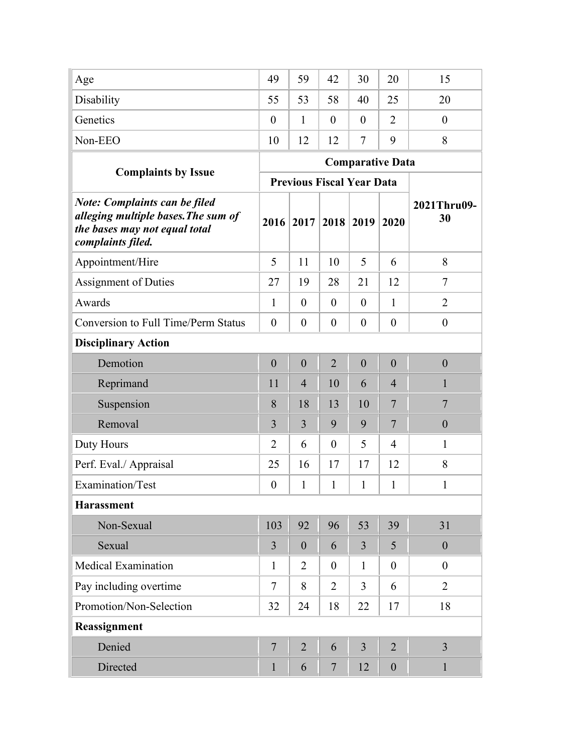| Age                                                                                                                               | 49               | 59                               | 42               | 30               | 20                      | 15                |
|-----------------------------------------------------------------------------------------------------------------------------------|------------------|----------------------------------|------------------|------------------|-------------------------|-------------------|
| Disability                                                                                                                        | 55               | 53                               | 58               | 40               | 25                      | 20                |
| Genetics                                                                                                                          | $\theta$         | 1                                | $\theta$         | $\theta$         | $\overline{2}$          | $\theta$          |
| Non-EEO                                                                                                                           | 10               | 12                               | 12               | $\tau$           | 9                       | 8                 |
|                                                                                                                                   |                  |                                  |                  |                  | <b>Comparative Data</b> |                   |
| <b>Complaints by Issue</b>                                                                                                        |                  | <b>Previous Fiscal Year Data</b> |                  |                  |                         |                   |
| <b>Note: Complaints can be filed</b><br>alleging multiple bases. The sum of<br>the bases may not equal total<br>complaints filed. | 2016             | 2017                             | 2018             | 2019             | 2020                    | 2021Thru09-<br>30 |
| Appointment/Hire                                                                                                                  | 5                | 11                               | 10               | 5                | 6                       | 8                 |
| <b>Assignment of Duties</b>                                                                                                       | 27               | 19                               | 28               | 21               | 12                      | $\tau$            |
| Awards                                                                                                                            | 1                | $\overline{0}$                   | $\theta$         | $\overline{0}$   | $\mathbf{1}$            | $\overline{2}$    |
| <b>Conversion to Full Time/Perm Status</b>                                                                                        | $\theta$         | $\boldsymbol{0}$                 | $\theta$         | $\theta$         | $\theta$                | $\boldsymbol{0}$  |
| <b>Disciplinary Action</b>                                                                                                        |                  |                                  |                  |                  |                         |                   |
| Demotion                                                                                                                          | $\boldsymbol{0}$ | $\boldsymbol{0}$                 | $\overline{2}$   | $\boldsymbol{0}$ | $\boldsymbol{0}$        | $\mathbf{0}$      |
| Reprimand                                                                                                                         | 11               | $\overline{4}$                   | 10               | 6                | $\overline{4}$          | 1                 |
| Suspension                                                                                                                        | 8                | 18                               | 13               | 10               | 7                       | $\overline{7}$    |
| Removal                                                                                                                           | 3                | 3                                | 9                | 9                | 7                       | $\boldsymbol{0}$  |
| Duty Hours                                                                                                                        | $\overline{2}$   | 6                                | $\boldsymbol{0}$ | 5                | $\overline{4}$          | $\mathbf{1}$      |
| Perf. Eval./ Appraisal                                                                                                            | 25               | 16                               | 17               | 17               | 12                      | 8                 |
| Examination/Test                                                                                                                  | $\boldsymbol{0}$ | 1                                | $\mathbf{1}$     | $\mathbf{1}$     | $\mathbf{1}$            | $\mathbf{1}$      |
| <b>Harassment</b>                                                                                                                 |                  |                                  |                  |                  |                         |                   |
| Non-Sexual                                                                                                                        | 103              | 92                               | 96               | 53               | 39                      | 31                |
| Sexual                                                                                                                            | $\overline{3}$   | $\boldsymbol{0}$                 | 6                | $\overline{3}$   | 5                       | $\boldsymbol{0}$  |
| <b>Medical Examination</b>                                                                                                        | $\mathbf{1}$     | $\overline{2}$                   | $\boldsymbol{0}$ | $\mathbf{1}$     | $\boldsymbol{0}$        | $\boldsymbol{0}$  |
| Pay including overtime                                                                                                            | $\overline{7}$   | 8                                | $\overline{2}$   | $\overline{3}$   | 6                       | $\overline{2}$    |
| Promotion/Non-Selection                                                                                                           | 32               | 24                               | 18               | 22               | 17                      | 18                |
| Reassignment                                                                                                                      |                  |                                  |                  |                  |                         |                   |
| Denied                                                                                                                            | $\overline{7}$   | $\overline{2}$                   | 6                | $\overline{3}$   | $\overline{2}$          | $\overline{3}$    |
| Directed                                                                                                                          | $\mathbf{1}$     | 6                                | $\overline{7}$   | 12               | $\boldsymbol{0}$        | $\mathbf{1}$      |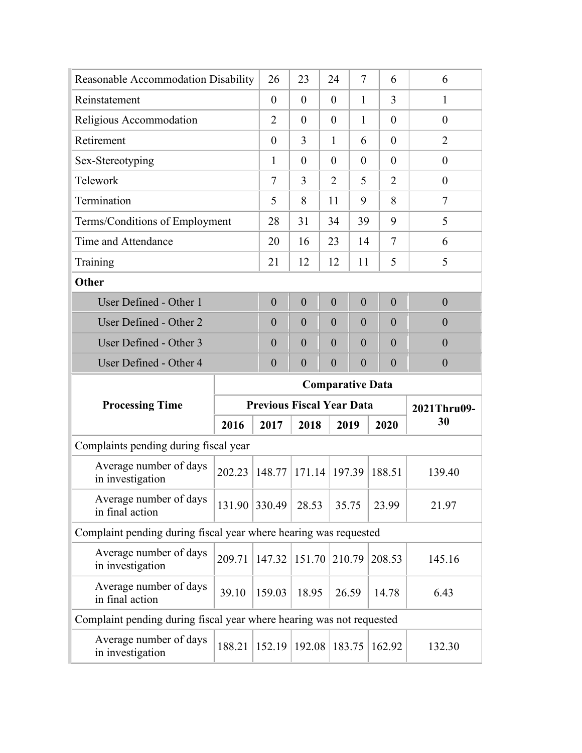| Reasonable Accommodation Disability                                  |        | 26                               | 23               | 24                      | $\tau$           | 6 |                | 6                |  |
|----------------------------------------------------------------------|--------|----------------------------------|------------------|-------------------------|------------------|---|----------------|------------------|--|
| Reinstatement                                                        |        | $\theta$                         | $\theta$         | $\theta$                | 1                |   | 3              | 1                |  |
| Religious Accommodation                                              |        | $\overline{2}$                   | $\theta$         | $\theta$                | 1                |   | $\theta$       | $\theta$         |  |
| Retirement                                                           |        | $\theta$                         | 3                | $\mathbf{1}$            | 6                |   | $\theta$       | $\overline{2}$   |  |
| Sex-Stereotyping                                                     |        | 1                                | $\theta$         | $\theta$                | $\theta$         |   | $\theta$       | $\theta$         |  |
| Telework                                                             |        | $\tau$                           | 3                | $\overline{2}$          | 5                |   | $\overline{2}$ | $\theta$         |  |
| Termination                                                          |        | 5                                | 8                | 11                      | 9                |   | 8              | $\tau$           |  |
| Terms/Conditions of Employment                                       |        | 28                               | 31               | 34                      | 39               |   | 9              | 5                |  |
| Time and Attendance                                                  |        | 20                               | 16               | 23                      | 14               |   | 7              | 6                |  |
| Training                                                             |        | 21                               | 12               | 12                      | 11               |   | 5              | 5                |  |
| Other                                                                |        |                                  |                  |                         |                  |   |                |                  |  |
| User Defined - Other 1                                               |        | $\overline{0}$                   | $\overline{0}$   | $\overline{0}$          | $\overline{0}$   |   | $\theta$       | $\theta$         |  |
| User Defined - Other 2                                               |        | $\overline{0}$                   | $\theta$         | $\theta$                | $\overline{0}$   |   | $\theta$       | $\overline{0}$   |  |
| User Defined - Other 3                                               |        | $\overline{0}$                   | $\overline{0}$   | $\theta$                | $\overline{0}$   |   | $\overline{0}$ | $\theta$         |  |
| User Defined - Other 4                                               |        | $\boldsymbol{0}$                 | $\boldsymbol{0}$ | $\boldsymbol{0}$        | $\boldsymbol{0}$ |   | $\overline{0}$ | $\boldsymbol{0}$ |  |
|                                                                      |        |                                  |                  |                         |                  |   |                |                  |  |
|                                                                      |        |                                  |                  | <b>Comparative Data</b> |                  |   |                |                  |  |
| <b>Processing Time</b>                                               |        | <b>Previous Fiscal Year Data</b> |                  |                         |                  |   |                | 2021Thru09-      |  |
|                                                                      | 2016   | 2017                             | 2018             |                         | 2019             |   | 2020           | 30               |  |
| Complaints pending during fiscal year                                |        |                                  |                  |                         |                  |   |                |                  |  |
| Average number of days<br>in investigation                           | 202.23 | 148.77                           | 171.14           |                         | 197.39           |   | 188.51         | 139.40           |  |
| Average number of days<br>in final action                            | 131.90 | 330.49                           | 28.53            |                         | 35.75            |   | 23.99          | 21.97            |  |
| Complaint pending during fiscal year where hearing was requested     |        |                                  |                  |                         |                  |   |                |                  |  |
| Average number of days<br>in investigation                           | 209.71 | 147.32                           | 151.70           |                         | 210.79           |   | 208.53         | 145.16           |  |
| Average number of days<br>in final action                            | 39.10  | 159.03                           | 18.95            |                         | 26.59            |   | 14.78          | 6.43             |  |
| Complaint pending during fiscal year where hearing was not requested |        |                                  |                  |                         |                  |   |                |                  |  |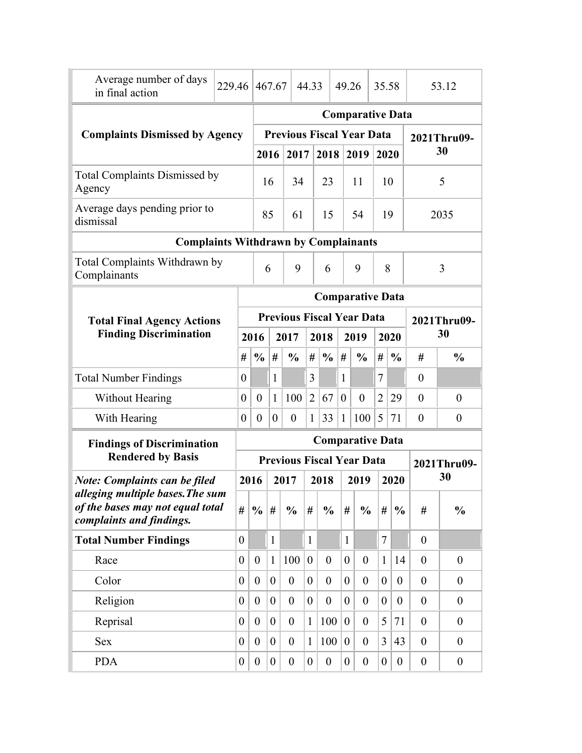| Average number of days<br>in final action                                                        | 229.46 |                                  |                  | 467.67           |                                  | 44.33            |                  | 49.26            |                         | 35.58          |                  | 53.12            |                  |
|--------------------------------------------------------------------------------------------------|--------|----------------------------------|------------------|------------------|----------------------------------|------------------|------------------|------------------|-------------------------|----------------|------------------|------------------|------------------|
|                                                                                                  |        |                                  |                  |                  |                                  |                  |                  |                  | <b>Comparative Data</b> |                |                  |                  |                  |
| <b>Complaints Dismissed by Agency</b>                                                            |        |                                  |                  |                  | <b>Previous Fiscal Year Data</b> |                  |                  |                  |                         |                |                  | 2021Thru09-      |                  |
|                                                                                                  |        |                                  |                  | 2016             | 2017                             |                  | 2018             |                  | 2019                    |                | 2020             |                  | 30               |
| <b>Total Complaints Dismissed by</b><br>Agency                                                   |        |                                  |                  | 16               | 34                               |                  | 23               |                  | 11                      |                | 10               |                  | 5                |
| Average days pending prior to<br>dismissal                                                       |        |                                  |                  | 85               | 61                               |                  | 15               |                  | 54                      |                | 19               |                  | 2035             |
| <b>Complaints Withdrawn by Complainants</b>                                                      |        |                                  |                  |                  |                                  |                  |                  |                  |                         |                |                  |                  |                  |
| Total Complaints Withdrawn by<br>Complainants                                                    |        |                                  |                  | 6                | 9                                |                  | 6                |                  | 9                       |                | 8                |                  | 3                |
|                                                                                                  |        |                                  |                  |                  |                                  |                  |                  |                  | <b>Comparative Data</b> |                |                  |                  |                  |
| <b>Total Final Agency Actions</b>                                                                |        | <b>Previous Fiscal Year Data</b> |                  |                  |                                  |                  |                  |                  |                         |                |                  |                  | 2021Thru09-      |
| <b>Finding Discrimination</b>                                                                    |        |                                  | 2016             |                  | 2017                             |                  | 2018             |                  | 2019                    |                | 2020             |                  | 30               |
|                                                                                                  |        | #                                | $\frac{0}{0}$    | #                | $\frac{0}{0}$                    | #                | $\frac{6}{6}$    | #                | $\frac{0}{0}$           | #              | $\frac{0}{0}$    | #                | $\frac{0}{0}$    |
| <b>Total Number Findings</b>                                                                     |        | $\theta$                         |                  | 1                |                                  | 3                |                  | $\mathbf{1}$     |                         | 7              |                  | $\boldsymbol{0}$ |                  |
| <b>Without Hearing</b>                                                                           |        | $\boldsymbol{0}$                 | $\boldsymbol{0}$ | $\mathbf{1}$     | 100                              | $\overline{2}$   | 67               | $\overline{0}$   | $\overline{0}$          | $\overline{2}$ | 29               | $\overline{0}$   | $\boldsymbol{0}$ |
| With Hearing                                                                                     |        | $\theta$                         | $\boldsymbol{0}$ | $\boldsymbol{0}$ | $\theta$                         | $\mathbf{1}$     | 33               | $\mathbf{1}$     | 100                     | 5              | 71               | $\theta$         | $\boldsymbol{0}$ |
| <b>Findings of Discrimination</b>                                                                |        |                                  |                  |                  |                                  |                  |                  |                  | <b>Comparative Data</b> |                |                  |                  |                  |
| <b>Rendered by Basis</b>                                                                         |        |                                  |                  |                  | <b>Previous Fiscal Year Data</b> |                  |                  |                  |                         |                |                  |                  | 2021Thru09-      |
| <b>Note: Complaints can be filed</b>                                                             |        |                                  | 2016             |                  | 2017                             |                  | 2018             |                  | 2019                    |                | 2020             |                  | 30               |
| alleging multiple bases. The sum<br>of the bases may not equal total<br>complaints and findings. |        | #                                | $\frac{0}{0}$    | #                | $\frac{0}{0}$                    | #                | $\frac{0}{0}$    | #                | $\frac{0}{0}$           | #              | $\frac{0}{0}$    | #                | $\frac{0}{0}$    |
| <b>Total Number Findings</b>                                                                     |        | $\overline{0}$                   |                  | $\mathbf{1}$     |                                  | $\mathbf{1}$     |                  | $\mathbf{1}$     |                         | $\overline{7}$ |                  | $\overline{0}$   |                  |
| Race                                                                                             |        | $\overline{0}$                   | $\boldsymbol{0}$ | $\mathbf{1}$     | 100                              | $\boldsymbol{0}$ | $\theta$         | $\overline{0}$   | $\boldsymbol{0}$        | $\mathbf{1}$   | 14               | $\theta$         | $\theta$         |
| Color                                                                                            |        | 0                                | $\boldsymbol{0}$ | $\boldsymbol{0}$ | $\boldsymbol{0}$                 | $\overline{0}$   | $\theta$         | $\boldsymbol{0}$ | $\boldsymbol{0}$        | $\overline{0}$ | $\boldsymbol{0}$ | $\overline{0}$   | $\theta$         |
| Religion                                                                                         |        | $\overline{0}$                   | $\boldsymbol{0}$ | $\overline{0}$   | $\overline{0}$                   | $\boldsymbol{0}$ | $\overline{0}$   | $\boldsymbol{0}$ | $\boldsymbol{0}$        | $\overline{0}$ | $\boldsymbol{0}$ | $\boldsymbol{0}$ | $\theta$         |
| Reprisal                                                                                         |        | $\overline{0}$                   | $\overline{0}$   | $\overline{0}$   | $\boldsymbol{0}$                 | $\mathbf{1}$     | 100              | $\boldsymbol{0}$ | $\boldsymbol{0}$        | 5              | 71               | $\boldsymbol{0}$ | $\boldsymbol{0}$ |
| Sex                                                                                              |        | $\overline{0}$                   | $\overline{0}$   | $\overline{0}$   | $\boldsymbol{0}$                 | $\mathbf{1}$     | 100              | $\theta$         | $\boldsymbol{0}$        | 3              | 43               | $\theta$         | $\theta$         |
| <b>PDA</b>                                                                                       |        | 0                                | $\boldsymbol{0}$ | $\overline{0}$   | $\boldsymbol{0}$                 | $\boldsymbol{0}$ | $\boldsymbol{0}$ | $\boldsymbol{0}$ | $\boldsymbol{0}$        | $\overline{0}$ | $\boldsymbol{0}$ | $\boldsymbol{0}$ | $\boldsymbol{0}$ |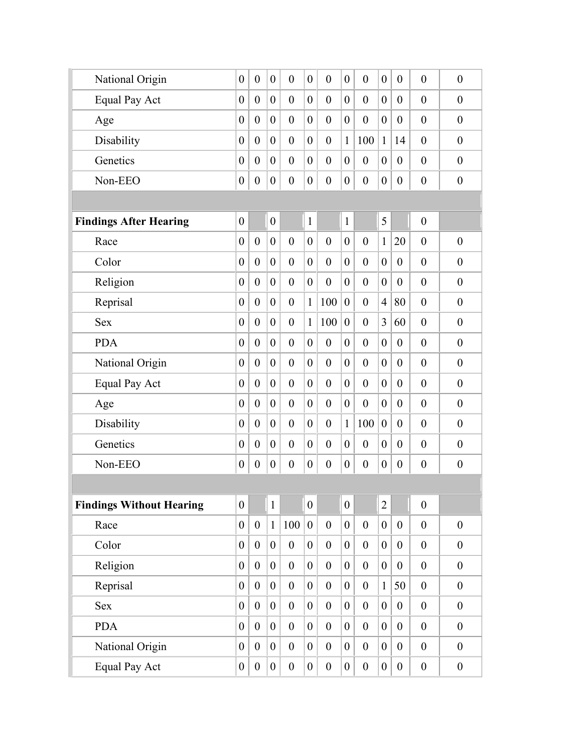| National Origin                 | $\boldsymbol{0}$ | $\boldsymbol{0}$ | $\boldsymbol{0}$ | $\boldsymbol{0}$ | $\boldsymbol{0}$ | $\theta$         | $\boldsymbol{0}$ | $\boldsymbol{0}$ | $\boldsymbol{0}$ | $\boldsymbol{0}$ | $\boldsymbol{0}$ | $\boldsymbol{0}$ |
|---------------------------------|------------------|------------------|------------------|------------------|------------------|------------------|------------------|------------------|------------------|------------------|------------------|------------------|
| <b>Equal Pay Act</b>            | $\boldsymbol{0}$ | $\overline{0}$   | $\overline{0}$   | $\boldsymbol{0}$ | $\overline{0}$   | $\mathbf{0}$     | $\overline{0}$   | $\theta$         | $\overline{0}$   | $\boldsymbol{0}$ | $\overline{0}$   | $\boldsymbol{0}$ |
| Age                             | $\theta$         | $\overline{0}$   | $\theta$         | $\theta$         | $\overline{0}$   | $\theta$         | $\overline{0}$   | $\theta$         | $\theta$         | $\boldsymbol{0}$ | $\theta$         | $\mathbf{0}$     |
| Disability                      | $\theta$         | $\theta$         | $\overline{0}$   | $\overline{0}$   | $\overline{0}$   | $\theta$         | $\mathbf{1}$     | 100              | $\mathbf{1}$     | 14               | $\theta$         | $\mathbf{0}$     |
| Genetics                        | $\boldsymbol{0}$ | $\theta$         | $\overline{0}$   | $\boldsymbol{0}$ | $\overline{0}$   | $\theta$         | $\boldsymbol{0}$ | $\boldsymbol{0}$ | $\overline{0}$   | $\boldsymbol{0}$ | $\theta$         | $\boldsymbol{0}$ |
| Non-EEO                         | $\boldsymbol{0}$ | $\boldsymbol{0}$ | $\boldsymbol{0}$ | $\boldsymbol{0}$ | $\boldsymbol{0}$ | $\boldsymbol{0}$ | $\boldsymbol{0}$ | $\boldsymbol{0}$ | $\boldsymbol{0}$ | $\boldsymbol{0}$ | $\boldsymbol{0}$ | $\boldsymbol{0}$ |
|                                 |                  |                  |                  |                  |                  |                  |                  |                  |                  |                  |                  |                  |
| <b>Findings After Hearing</b>   | $\boldsymbol{0}$ |                  | $\boldsymbol{0}$ |                  | $\mathbf{1}$     |                  | $\mathbf{1}$     |                  | 5                |                  | $\boldsymbol{0}$ |                  |
| Race                            | $\boldsymbol{0}$ | $\overline{0}$   | $\boldsymbol{0}$ | $\boldsymbol{0}$ | $\boldsymbol{0}$ | $\theta$         | $\boldsymbol{0}$ | $\theta$         | $\mathbf{1}$     | 20               | $\overline{0}$   | $\theta$         |
| Color                           | $\boldsymbol{0}$ | $\boldsymbol{0}$ | $\overline{0}$   | $\boldsymbol{0}$ | $\boldsymbol{0}$ | $\theta$         | $\boldsymbol{0}$ | $\boldsymbol{0}$ | $\overline{0}$   | $\boldsymbol{0}$ | $\boldsymbol{0}$ | $\boldsymbol{0}$ |
| Religion                        | $\boldsymbol{0}$ | $\mathbf{0}$     | $\overline{0}$   | $\boldsymbol{0}$ | $\overline{0}$   | $\theta$         | $\mathbf{0}$     | $\boldsymbol{0}$ | $\theta$         | $\boldsymbol{0}$ | $\overline{0}$   | $\boldsymbol{0}$ |
| Reprisal                        | $\boldsymbol{0}$ | $\overline{0}$   | $\overline{0}$   | $\boldsymbol{0}$ | $\mathbf{1}$     | 100              | $\overline{0}$   | $\boldsymbol{0}$ | $\overline{4}$   | 80               | $\overline{0}$   | $\boldsymbol{0}$ |
| <b>Sex</b>                      | $\theta$         | $\overline{0}$   | $\overline{0}$   | $\boldsymbol{0}$ | $\mathbf{1}$     | 100              | $\mathbf{0}$     | $\boldsymbol{0}$ | 3                | 60               | $\overline{0}$   | $\boldsymbol{0}$ |
| <b>PDA</b>                      | $\boldsymbol{0}$ | $\overline{0}$   | $\overline{0}$   | $\boldsymbol{0}$ | $\overline{0}$   | $\theta$         | $\overline{0}$   | $\theta$         | $\overline{0}$   | $\boldsymbol{0}$ | $\overline{0}$   | $\mathbf{0}$     |
| National Origin                 | $\boldsymbol{0}$ | $\overline{0}$   | $\overline{0}$   | $\boldsymbol{0}$ | $\overline{0}$   | $\mathbf{0}$     | $\mathbf{0}$     | $\theta$         | $\overline{0}$   | $\boldsymbol{0}$ | $\boldsymbol{0}$ | $\boldsymbol{0}$ |
| <b>Equal Pay Act</b>            | $\boldsymbol{0}$ | $\theta$         | $\overline{0}$   | $\boldsymbol{0}$ | $\overline{0}$   | $\theta$         | $\boldsymbol{0}$ | $\boldsymbol{0}$ | $\overline{0}$   | $\boldsymbol{0}$ | $\overline{0}$   | $\boldsymbol{0}$ |
| Age                             | $\theta$         | $\overline{0}$   | $\overline{0}$   | $\overline{0}$   | $\overline{0}$   | $\theta$         | $\overline{0}$   | $\theta$         | $\theta$         | $\overline{0}$   | $\overline{0}$   | $\boldsymbol{0}$ |
| Disability                      | $\boldsymbol{0}$ | $\overline{0}$   | $\overline{0}$   | $\boldsymbol{0}$ | $\boldsymbol{0}$ | $\theta$         | $\mathbf{1}$     | 100              | $\boldsymbol{0}$ | $\boldsymbol{0}$ | $\overline{0}$   | $\mathbf{0}$     |
| Genetics                        | $\boldsymbol{0}$ | $\boldsymbol{0}$ | $\theta$         | $\boldsymbol{0}$ | $\boldsymbol{0}$ | $\theta$         | $\boldsymbol{0}$ | $\boldsymbol{0}$ | $\theta$         | $\boldsymbol{0}$ | $\boldsymbol{0}$ | $\boldsymbol{0}$ |
| Non-EEO                         | $\boldsymbol{0}$ | $\boldsymbol{0}$ | $\boldsymbol{0}$ | $\boldsymbol{0}$ | $\boldsymbol{0}$ | $\boldsymbol{0}$ | $\boldsymbol{0}$ | $\boldsymbol{0}$ | $\boldsymbol{0}$ | $\boldsymbol{0}$ | $\boldsymbol{0}$ | $\boldsymbol{0}$ |
|                                 |                  |                  |                  |                  |                  |                  |                  |                  |                  |                  |                  |                  |
| <b>Findings Without Hearing</b> | $\boldsymbol{0}$ |                  | $\mathbf{1}$     |                  | $\overline{0}$   |                  | $\boldsymbol{0}$ |                  | $\overline{2}$   |                  | $\boldsymbol{0}$ |                  |
| Race                            | $\boldsymbol{0}$ | $\boldsymbol{0}$ | $\mathbf{1}$     | 100              | $\overline{0}$   | $\boldsymbol{0}$ | $\boldsymbol{0}$ | $\boldsymbol{0}$ | $\overline{0}$   | $\boldsymbol{0}$ | $\boldsymbol{0}$ | $\boldsymbol{0}$ |
| Color                           | $\overline{0}$   | $\overline{0}$   | $\overline{0}$   | $\boldsymbol{0}$ | $\overline{0}$   | $\overline{0}$   | $\boldsymbol{0}$ | $\boldsymbol{0}$ | $\overline{0}$   | $\boldsymbol{0}$ | $\boldsymbol{0}$ | $\boldsymbol{0}$ |
| Religion                        | $\boldsymbol{0}$ | $\boldsymbol{0}$ | $\boldsymbol{0}$ | $\boldsymbol{0}$ | $\overline{0}$   | $\boldsymbol{0}$ | $\boldsymbol{0}$ | $\boldsymbol{0}$ | $\boldsymbol{0}$ | $\boldsymbol{0}$ | $\boldsymbol{0}$ | $\boldsymbol{0}$ |
| Reprisal                        | $\boldsymbol{0}$ | $\boldsymbol{0}$ | $\overline{0}$   | $\boldsymbol{0}$ | $\overline{0}$   | $\boldsymbol{0}$ | $\boldsymbol{0}$ | $\boldsymbol{0}$ | $\mathbf{1}$     | 50               | $\boldsymbol{0}$ | $\boldsymbol{0}$ |
| Sex                             | $\boldsymbol{0}$ | $\boldsymbol{0}$ | $\overline{0}$   | $\boldsymbol{0}$ | $\overline{0}$   | $\boldsymbol{0}$ | $\boldsymbol{0}$ | $\boldsymbol{0}$ | $\boldsymbol{0}$ | $\boldsymbol{0}$ | $\boldsymbol{0}$ | $\boldsymbol{0}$ |
| <b>PDA</b>                      | $\boldsymbol{0}$ | $\boldsymbol{0}$ | $\boldsymbol{0}$ | $\boldsymbol{0}$ | $\boldsymbol{0}$ | $\boldsymbol{0}$ | $\boldsymbol{0}$ | $\boldsymbol{0}$ | $\overline{0}$   | $\boldsymbol{0}$ | $\boldsymbol{0}$ | $\boldsymbol{0}$ |
| National Origin                 | $\boldsymbol{0}$ | $\boldsymbol{0}$ | $\boldsymbol{0}$ | $\boldsymbol{0}$ | $\overline{0}$   | $\boldsymbol{0}$ | $\boldsymbol{0}$ | $\boldsymbol{0}$ | $\overline{0}$   | $\boldsymbol{0}$ | $\boldsymbol{0}$ | $\boldsymbol{0}$ |
| Equal Pay Act                   | $\boldsymbol{0}$ | $\boldsymbol{0}$ | $\boldsymbol{0}$ | $\boldsymbol{0}$ | $\overline{0}$   | $\boldsymbol{0}$ | $\boldsymbol{0}$ | $\boldsymbol{0}$ | $\overline{0}$   | $\boldsymbol{0}$ | $\boldsymbol{0}$ | $\boldsymbol{0}$ |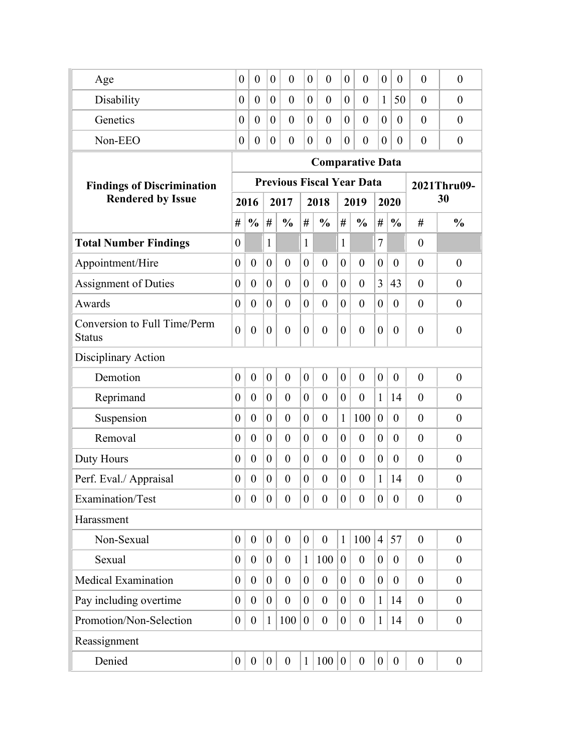| Age                                           | $\overline{0}$                   | $\boldsymbol{0}$ | $\theta$         | $\theta$         | $\theta$         | $\overline{0}$          | $\overline{0}$   | $\theta$         | $\boldsymbol{0}$ | $\overline{0}$ | $\overline{0}$ | $\overline{0}$   |  |
|-----------------------------------------------|----------------------------------|------------------|------------------|------------------|------------------|-------------------------|------------------|------------------|------------------|----------------|----------------|------------------|--|
| Disability                                    | $\overline{0}$                   | $\theta$         | $\overline{0}$   | $\overline{0}$   | $\theta$         | $\overline{0}$          | $\overline{0}$   | $\theta$         | $\mathbf{1}$     | 50             | $\overline{0}$ | $\boldsymbol{0}$ |  |
| Genetics                                      | $\overline{0}$                   | $\theta$         | $\overline{0}$   | $\overline{0}$   | $\theta$         | $\theta$                | $\overline{0}$   | $\theta$         | $\overline{0}$   | $\theta$       | $\overline{0}$ | $\overline{0}$   |  |
| Non-EEO                                       | $\boldsymbol{0}$                 | $\theta$         | $\overline{0}$   | $\theta$         | $\overline{0}$   | $\theta$                | $\overline{0}$   | $\overline{0}$   | $\overline{0}$   | $\overline{0}$ | $\overline{0}$ | $\overline{0}$   |  |
|                                               |                                  |                  |                  |                  |                  | <b>Comparative Data</b> |                  |                  |                  |                |                |                  |  |
| <b>Findings of Discrimination</b>             | <b>Previous Fiscal Year Data</b> |                  |                  |                  |                  |                         |                  |                  |                  |                |                | 2021Thru09-      |  |
| <b>Rendered by Issue</b>                      |                                  | 2016             |                  | 2017             |                  | 2018                    |                  | 2019             | 2020             |                | 30             |                  |  |
|                                               | #                                | $\frac{0}{0}$    | #                | $\frac{0}{0}$    | #                | $\frac{0}{0}$           | #                | $\frac{0}{0}$    | #                | $\frac{0}{0}$  | #              | $\frac{0}{0}$    |  |
| <b>Total Number Findings</b>                  | $\boldsymbol{0}$                 |                  | 1                |                  | $\mathbf{1}$     |                         | 1                |                  | $\tau$           |                | $\theta$       |                  |  |
| Appointment/Hire                              | $\boldsymbol{0}$                 | $\boldsymbol{0}$ | $\boldsymbol{0}$ | $\overline{0}$   | $\overline{0}$   | $\overline{0}$          | $\theta$         | $\overline{0}$   | $\overline{0}$   | $\theta$       | $\theta$       | $\boldsymbol{0}$ |  |
| <b>Assignment of Duties</b>                   | $\theta$                         | $\overline{0}$   | $\overline{0}$   | $\overline{0}$   | $\overline{0}$   | $\overline{0}$          | $\overline{0}$   | $\overline{0}$   | 3                | 43             | $\overline{0}$ | $\theta$         |  |
| Awards                                        | $\overline{0}$                   | $\overline{0}$   | $\overline{0}$   | $\overline{0}$   | $\theta$         | $\overline{0}$          | $\overline{0}$   | $\overline{0}$   | $\overline{0}$   | $\theta$       | $\overline{0}$ | $\boldsymbol{0}$ |  |
| Conversion to Full Time/Perm<br><b>Status</b> | $\overline{0}$                   | $\boldsymbol{0}$ | $\overline{0}$   | $\overline{0}$   | $\theta$         | $\overline{0}$          | $\overline{0}$   | $\theta$         | $\overline{0}$   | $\theta$       | $\overline{0}$ | $\overline{0}$   |  |
| Disciplinary Action                           |                                  |                  |                  |                  |                  |                         |                  |                  |                  |                |                |                  |  |
| Demotion                                      | $\overline{0}$                   | $\overline{0}$   | $\overline{0}$   | $\overline{0}$   | $\overline{0}$   | $\overline{0}$          | $\mathbf{0}$     | $\overline{0}$   | $\overline{0}$   | $\theta$       | $\theta$       | $\overline{0}$   |  |
| Reprimand                                     | $\boldsymbol{0}$                 | $\overline{0}$   | $\overline{0}$   | $\overline{0}$   | $\overline{0}$   | $\overline{0}$          | $\theta$         | $\overline{0}$   | $\mathbf{1}$     | 14             | $\overline{0}$ | $\overline{0}$   |  |
| Suspension                                    | $\boldsymbol{0}$                 | $\overline{0}$   | $\overline{0}$   | $\overline{0}$   | $\theta$         | $\overline{0}$          | $\mathbf{1}$     | 100              | $\mathbf{0}$     | $\theta$       | $\overline{0}$ | $\boldsymbol{0}$ |  |
| Removal                                       | $\overline{0}$                   | $\overline{0}$   | $\overline{0}$   | $\overline{0}$   | $\theta$         | $\overline{0}$          | $\theta$         | $\overline{0}$   | $\overline{0}$   | $\theta$       | $\theta$       | $\theta$         |  |
| Duty Hours                                    | $\theta$                         | $\overline{0}$   | $\overline{0}$   | $\theta$         | $\overline{0}$   | $\overline{0}$          | $\theta$         | $\theta$         | $\overline{0}$   | $\theta$       | $\theta$       | $\overline{0}$   |  |
| Perf. Eval./ Appraisal                        | $\theta$                         | $\boldsymbol{0}$ | $\overline{0}$   | $\theta$         | $\theta$         | $\overline{0}$          | $\theta$         | $\theta$         | $\mathbf{1}$     | 14             | $\theta$       | $\overline{0}$   |  |
| Examination/Test                              | $\boldsymbol{0}$                 | $\boldsymbol{0}$ | $\boldsymbol{0}$ | $\boldsymbol{0}$ | $\overline{0}$   | $\boldsymbol{0}$        | $\boldsymbol{0}$ | $\boldsymbol{0}$ | $\boldsymbol{0}$ | $\overline{0}$ | $\theta$       | $\boldsymbol{0}$ |  |
| Harassment                                    |                                  |                  |                  |                  |                  |                         |                  |                  |                  |                |                |                  |  |
| Non-Sexual                                    | $\boldsymbol{0}$                 | $\boldsymbol{0}$ | $\boldsymbol{0}$ | $\overline{0}$   | $\boldsymbol{0}$ | $\boldsymbol{0}$        | $\mathbf{1}$     | 100              | $\overline{4}$   | 57             | $\theta$       | $\boldsymbol{0}$ |  |
| Sexual                                        | $\boldsymbol{0}$                 | $\overline{0}$   | $\boldsymbol{0}$ | $\overline{0}$   | $\mathbf{1}$     | 100                     | $\overline{0}$   | $\overline{0}$   | $\overline{0}$   | $\theta$       | $\theta$       | $\overline{0}$   |  |
| <b>Medical Examination</b>                    | $\boldsymbol{0}$                 | $\theta$         | $\boldsymbol{0}$ | $\theta$         | $\overline{0}$   | $\overline{0}$          | $\theta$         | $\overline{0}$   | $\overline{0}$   | $\theta$       | $\theta$       | $\overline{0}$   |  |
| Pay including overtime                        | $\boldsymbol{0}$                 | $\theta$         | $\boldsymbol{0}$ | $\boldsymbol{0}$ | $\overline{0}$   | $\overline{0}$          | $\overline{0}$   | $\overline{0}$   | $\mathbf{1}$     | 14             | $\theta$       | $\boldsymbol{0}$ |  |
| Promotion/Non-Selection                       | $\boldsymbol{0}$                 | $\boldsymbol{0}$ | $\mathbf{1}$     | 100              | $\overline{0}$   | $\boldsymbol{0}$        | $\boldsymbol{0}$ | $\overline{0}$   | $\mathbf{1}$     | 14             | $\theta$       | $\boldsymbol{0}$ |  |
| Reassignment                                  |                                  |                  |                  |                  |                  |                         |                  |                  |                  |                |                |                  |  |
| Denied                                        | $\boldsymbol{0}$                 | $\boldsymbol{0}$ | $\boldsymbol{0}$ | $\boldsymbol{0}$ | $\mathbf{1}$     | 100                     | $\mathbf{0}$     | $\boldsymbol{0}$ | $\boldsymbol{0}$ | $\overline{0}$ | $\theta$       | $\overline{0}$   |  |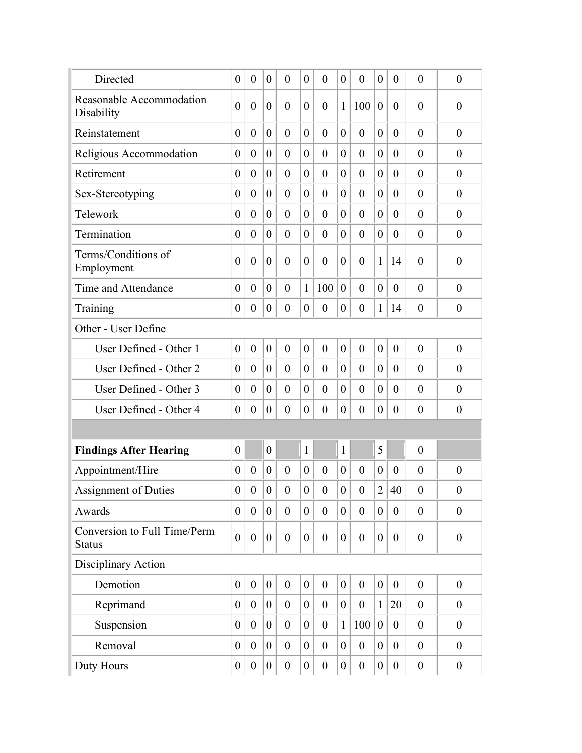| Directed                                      | $\overline{0}$   | $\boldsymbol{0}$ | $\overline{0}$   | $\overline{0}$   | $\overline{0}$   | $\overline{0}$   | $\theta$         | $\theta$         | $\overline{0}$   | $\theta$         | $\overline{0}$   | $\boldsymbol{0}$ |
|-----------------------------------------------|------------------|------------------|------------------|------------------|------------------|------------------|------------------|------------------|------------------|------------------|------------------|------------------|
| Reasonable Accommodation<br>Disability        | $\overline{0}$   | $\boldsymbol{0}$ | $\boldsymbol{0}$ | $\overline{0}$   | $\theta$         | $\overline{0}$   | 1                | 100              | $\boldsymbol{0}$ | $\overline{0}$   | $\overline{0}$   | $\boldsymbol{0}$ |
| Reinstatement                                 | $\overline{0}$   | $\theta$         | $\overline{0}$   | $\theta$         | $\theta$         | $\overline{0}$   | $\theta$         | $\theta$         | $\overline{0}$   | $\theta$         | $\theta$         | $\theta$         |
| Religious Accommodation                       | $\theta$         | $\overline{0}$   | $\overline{0}$   | $\theta$         | $\overline{0}$   | $\overline{0}$   | $\theta$         | $\theta$         | $\overline{0}$   | $\theta$         | $\theta$         | $\overline{0}$   |
| Retirement                                    | $\boldsymbol{0}$ | $\boldsymbol{0}$ | $\overline{0}$   | $\theta$         | $\overline{0}$   | $\overline{0}$   | $\overline{0}$   | $\overline{0}$   | $\overline{0}$   | $\overline{0}$   | $\theta$         | $\theta$         |
| Sex-Stereotyping                              | $\boldsymbol{0}$ | $\overline{0}$   | $\overline{0}$   | $\overline{0}$   | $\overline{0}$   | $\overline{0}$   | $\overline{0}$   | $\overline{0}$   | $\overline{0}$   | $\overline{0}$   | $\overline{0}$   | $\boldsymbol{0}$ |
| Telework                                      | $\boldsymbol{0}$ | $\overline{0}$   | $\overline{0}$   | $\theta$         | $\overline{0}$   | $\overline{0}$   | $\overline{0}$   | $\theta$         | $\overline{0}$   | $\theta$         | $\theta$         | $\theta$         |
| Termination                                   | $\theta$         | $\overline{0}$   | $\overline{0}$   | $\theta$         | 0                | $\overline{0}$   | $\theta$         | $\theta$         | $\overline{0}$   | $\overline{0}$   | $\theta$         | $\theta$         |
| Terms/Conditions of<br>Employment             | $\overline{0}$   | $\boldsymbol{0}$ | $\overline{0}$   | $\theta$         | $\overline{0}$   | $\boldsymbol{0}$ | $\overline{0}$   | $\overline{0}$   | $\mathbf{1}$     | 14               | $\overline{0}$   | $\boldsymbol{0}$ |
| Time and Attendance                           | $\boldsymbol{0}$ | $\overline{0}$   | $\overline{0}$   | $\overline{0}$   | $\mathbf{1}$     | 100              | $\overline{0}$   | $\overline{0}$   | $\overline{0}$   | $\theta$         | $\theta$         | $\theta$         |
| Training                                      | $\boldsymbol{0}$ | $\boldsymbol{0}$ | $\boldsymbol{0}$ | $\overline{0}$   | $\overline{0}$   | $\boldsymbol{0}$ | $\overline{0}$   | $\overline{0}$   | $\mathbf{1}$     | 14               | $\overline{0}$   | $\boldsymbol{0}$ |
| Other - User Define                           |                  |                  |                  |                  |                  |                  |                  |                  |                  |                  |                  |                  |
| User Defined - Other 1                        | $\overline{0}$   | $\boldsymbol{0}$ | $\boldsymbol{0}$ | $\overline{0}$   | $\overline{0}$   | $\overline{0}$   | $\overline{0}$   | $\overline{0}$   | $\boldsymbol{0}$ | $\overline{0}$   | $\theta$         | $\overline{0}$   |
| User Defined - Other 2                        | $\overline{0}$   | $\overline{0}$   | $\overline{0}$   | $\theta$         | $\theta$         | $\overline{0}$   | $\overline{0}$   | $\theta$         | $\overline{0}$   | $\theta$         | $\theta$         | $\overline{0}$   |
| User Defined - Other 3                        | $\overline{0}$   | $\overline{0}$   | $\overline{0}$   | $\theta$         | $\overline{0}$   | $\overline{0}$   | $\overline{0}$   | $\theta$         | $\overline{0}$   | $\overline{0}$   | $\overline{0}$   | $\theta$         |
| User Defined - Other 4                        | $\boldsymbol{0}$ | $\boldsymbol{0}$ | $\overline{0}$   | $\boldsymbol{0}$ | $\overline{0}$   | $\boldsymbol{0}$ | $\boldsymbol{0}$ | $\overline{0}$   | $\boldsymbol{0}$ | $\theta$         | $\overline{0}$   | $\boldsymbol{0}$ |
|                                               |                  |                  |                  |                  |                  |                  |                  |                  |                  |                  |                  |                  |
| <b>Findings After Hearing</b>                 | $\overline{0}$   |                  | $\overline{0}$   |                  | $\mathbf{1}$     |                  | 1                |                  | 5                |                  | $\overline{0}$   |                  |
| Appointment/Hire                              | $\theta$         | $\overline{0}$   | $\overline{0}$   | $\theta$         | $\overline{0}$   | $\overline{0}$   | $\overline{0}$   | $\theta$         | $\overline{0}$   | $\theta$         | $\overline{0}$   | $\overline{0}$   |
| Assignment of Duties                          | $\theta$         | $\overline{0}$   | $\overline{0}$   | $\theta$         | $\boldsymbol{0}$ | $\boldsymbol{0}$ | $\theta$         | $\overline{0}$   | $\overline{c}$   | 40               | $\boldsymbol{0}$ | $\boldsymbol{0}$ |
| Awards                                        | $\boldsymbol{0}$ | $\boldsymbol{0}$ | $\boldsymbol{0}$ | $\boldsymbol{0}$ | $\boldsymbol{0}$ | $\boldsymbol{0}$ | $\overline{0}$   | $\overline{0}$   | $\boldsymbol{0}$ | $\boldsymbol{0}$ | $\overline{0}$   | $\boldsymbol{0}$ |
| Conversion to Full Time/Perm<br><b>Status</b> | $\overline{0}$   | $\boldsymbol{0}$ | $\boldsymbol{0}$ | $\theta$         | $\overline{0}$   | $\boldsymbol{0}$ | $\overline{0}$   | $\overline{0}$   | $\boldsymbol{0}$ | $\theta$         | $\boldsymbol{0}$ | $\boldsymbol{0}$ |
| Disciplinary Action                           |                  |                  |                  |                  |                  |                  |                  |                  |                  |                  |                  |                  |
| Demotion                                      | $\boldsymbol{0}$ | $\boldsymbol{0}$ | $\boldsymbol{0}$ | $\boldsymbol{0}$ | $\boldsymbol{0}$ | $\boldsymbol{0}$ | $\overline{0}$   | $\boldsymbol{0}$ | $\boldsymbol{0}$ | $\boldsymbol{0}$ | $\boldsymbol{0}$ | $\boldsymbol{0}$ |
| Reprimand                                     | $\boldsymbol{0}$ | $\boldsymbol{0}$ | $\boldsymbol{0}$ | $\boldsymbol{0}$ | $\boldsymbol{0}$ | $\boldsymbol{0}$ | $\overline{0}$   | $\boldsymbol{0}$ | $\mathbf{1}$     | 20               | $\boldsymbol{0}$ | $\boldsymbol{0}$ |
| Suspension                                    | $\boldsymbol{0}$ | $\boldsymbol{0}$ | $\boldsymbol{0}$ | $\boldsymbol{0}$ | $\boldsymbol{0}$ | $\boldsymbol{0}$ | $\mathbf{1}$     | 100              | $\boldsymbol{0}$ | $\overline{0}$   | $\boldsymbol{0}$ | $\boldsymbol{0}$ |
| Removal                                       | $\boldsymbol{0}$ | $\boldsymbol{0}$ | $\boldsymbol{0}$ | $\boldsymbol{0}$ | $\overline{0}$   | $\boldsymbol{0}$ | $\boldsymbol{0}$ | $\boldsymbol{0}$ | $\boldsymbol{0}$ | $\boldsymbol{0}$ | $\boldsymbol{0}$ | $\boldsymbol{0}$ |
| Duty Hours                                    | $\boldsymbol{0}$ | $\boldsymbol{0}$ | $\boldsymbol{0}$ | $\boldsymbol{0}$ | $\overline{0}$   | $\boldsymbol{0}$ | $\boldsymbol{0}$ | $\boldsymbol{0}$ | $\boldsymbol{0}$ | $\boldsymbol{0}$ | $\boldsymbol{0}$ | $\boldsymbol{0}$ |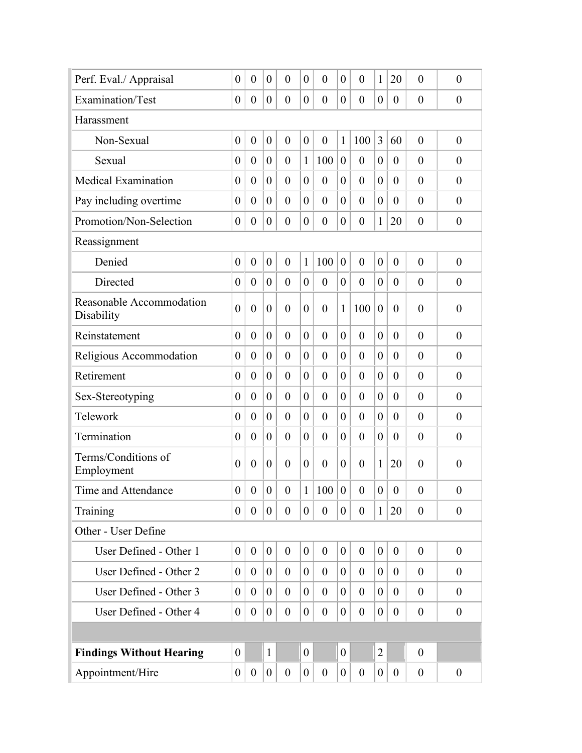| Perf. Eval./ Appraisal                 | $\boldsymbol{0}$ | $\boldsymbol{0}$ | $\boldsymbol{0}$ | $\overline{0}$   | $\theta$       | $\overline{0}$   | $\overline{0}$ | $\theta$         | $\mathbf{1}$     | 20               | $\overline{0}$   | $\boldsymbol{0}$ |
|----------------------------------------|------------------|------------------|------------------|------------------|----------------|------------------|----------------|------------------|------------------|------------------|------------------|------------------|
| Examination/Test                       | $\boldsymbol{0}$ | $\boldsymbol{0}$ | $\boldsymbol{0}$ | $\boldsymbol{0}$ | $\theta$       | $\boldsymbol{0}$ | $\overline{0}$ | $\overline{0}$   | $\boldsymbol{0}$ | $\theta$         | $\overline{0}$   | $\boldsymbol{0}$ |
| Harassment                             |                  |                  |                  |                  |                |                  |                |                  |                  |                  |                  |                  |
| Non-Sexual                             | $\boldsymbol{0}$ | $\boldsymbol{0}$ | $\boldsymbol{0}$ | $\overline{0}$   | $\overline{0}$ | $\mathbf{0}$     | 1              | 100              | 3                | 60               | $\overline{0}$   | $\boldsymbol{0}$ |
| Sexual                                 | $\boldsymbol{0}$ | $\boldsymbol{0}$ | $\boldsymbol{0}$ | $\theta$         | 1              | 100              | $\overline{0}$ | $\overline{0}$   | $\boldsymbol{0}$ | $\theta$         | $\overline{0}$   | $\theta$         |
| <b>Medical Examination</b>             | $\boldsymbol{0}$ | $\overline{0}$   | $\overline{0}$   | $\overline{0}$   | $\overline{0}$ | $\boldsymbol{0}$ | $\overline{0}$ | $\theta$         | $\overline{0}$   | $\overline{0}$   | $\overline{0}$   | $\overline{0}$   |
| Pay including overtime                 | $\boldsymbol{0}$ | $\theta$         | $\overline{0}$   | $\theta$         | $\theta$       | $\overline{0}$   | $\theta$       | $\theta$         | $\overline{0}$   | $\overline{0}$   | $\overline{0}$   | $\overline{0}$   |
| Promotion/Non-Selection                | $\boldsymbol{0}$ | $\overline{0}$   | $\overline{0}$   | $\boldsymbol{0}$ | $\overline{0}$ | $\boldsymbol{0}$ | $\overline{0}$ | $\overline{0}$   | 1                | 20               | $\boldsymbol{0}$ | $\boldsymbol{0}$ |
| Reassignment                           |                  |                  |                  |                  |                |                  |                |                  |                  |                  |                  |                  |
| Denied                                 | $\boldsymbol{0}$ | $\boldsymbol{0}$ | $\boldsymbol{0}$ | $\mathbf{0}$     | 1              | 100              | $\mathbf{0}$   | $\overline{0}$   | $\boldsymbol{0}$ | $\mathbf{0}$     | $\theta$         | $\overline{0}$   |
| Directed                               | $\boldsymbol{0}$ | $\boldsymbol{0}$ | $\boldsymbol{0}$ | $\theta$         | $\overline{0}$ | $\boldsymbol{0}$ | $\overline{0}$ | $\overline{0}$   | $\boldsymbol{0}$ | $\theta$         | $\overline{0}$   | $\theta$         |
| Reasonable Accommodation<br>Disability | $\overline{0}$   | $\boldsymbol{0}$ | $\boldsymbol{0}$ | $\overline{0}$   | $\overline{0}$ | $\boldsymbol{0}$ | 1              | 100              | $\boldsymbol{0}$ | $\overline{0}$   | $\overline{0}$   | $\overline{0}$   |
| Reinstatement                          | $\overline{0}$   | $\overline{0}$   | $\overline{0}$   | $\overline{0}$   | $\theta$       | $\theta$         | $\overline{0}$ | $\theta$         | $\overline{0}$   | $\theta$         | $\overline{0}$   | $\overline{0}$   |
| Religious Accommodation                | $\boldsymbol{0}$ | $\theta$         | $\boldsymbol{0}$ | $\theta$         | $\theta$       | $\overline{0}$   | $\overline{0}$ | $\overline{0}$   | $\boldsymbol{0}$ | $\theta$         | $\overline{0}$   | $\theta$         |
| Retirement                             | $\boldsymbol{0}$ | $\theta$         | $\boldsymbol{0}$ | $\overline{0}$   | $\overline{0}$ | $\overline{0}$   | $\overline{0}$ | $\overline{0}$   | $\overline{0}$   | $\overline{0}$   | $\overline{0}$   | $\overline{0}$   |
| Sex-Stereotyping                       | $\boldsymbol{0}$ | $\theta$         | $\overline{0}$   | $\overline{0}$   | $\overline{0}$ | $\overline{0}$   | $\overline{0}$ | $\overline{0}$   | $\boldsymbol{0}$ | $\theta$         | $\overline{0}$   | $\overline{0}$   |
| Telework                               | $\theta$         | $\overline{0}$   | $\theta$         | $\theta$         | $\theta$       | $\overline{0}$   | $\theta$       | $\overline{0}$   | $\overline{0}$   | $\theta$         | $\overline{0}$   | $\overline{0}$   |
| Termination                            | $\boldsymbol{0}$ | $\overline{0}$   | $\boldsymbol{0}$ | $\overline{0}$   | $\overline{0}$ | $\overline{0}$   | $\overline{0}$ | $\overline{0}$   | $\boldsymbol{0}$ | $\overline{0}$   | $\overline{0}$   | $\overline{0}$   |
| Terms/Conditions of<br>Employment      | $\overline{0}$   | $\boldsymbol{0}$ | $\boldsymbol{0}$ | $\theta$         | $\overline{0}$ | $\boldsymbol{0}$ | $\theta$       | $\theta$         | $\mathbf{1}$     | 20               | $\overline{0}$   | $\boldsymbol{0}$ |
| Time and Attendance                    | $\overline{0}$   | $\overline{0}$   | $\boldsymbol{0}$ | $\overline{0}$   | 1              | 100              | $\overline{0}$ | $\boldsymbol{0}$ | $\boldsymbol{0}$ | $\boldsymbol{0}$ | $\boldsymbol{0}$ | $\boldsymbol{0}$ |
| Training                               | $\overline{0}$   | $\overline{0}$   | $\overline{0}$   | $\mathbf{0}$     | $\overline{0}$ | $\mathbf{0}$     | $\overline{0}$ | $\overline{0}$   | $\mathbf{1}$     | 20               | $\theta$         | $\theta$         |
| Other - User Define                    |                  |                  |                  |                  |                |                  |                |                  |                  |                  |                  |                  |
| User Defined - Other 1                 | $\overline{0}$   | $\boldsymbol{0}$ | $\overline{0}$   | $\mathbf{0}$     | $\overline{0}$ | $\mathbf{0}$     | $\overline{0}$ | $\overline{0}$   | $\boldsymbol{0}$ | $\mathbf{0}$     | $\theta$         | $\boldsymbol{0}$ |
| User Defined - Other 2                 | $\theta$         | $\theta$         | $\boldsymbol{0}$ | $\theta$         | $\overline{0}$ | $\theta$         | $\overline{0}$ | $\overline{0}$   | $\theta$         | $\overline{0}$   | $\theta$         | $\theta$         |
| User Defined - Other 3                 | $\theta$         | $\theta$         | $\boldsymbol{0}$ | $\boldsymbol{0}$ | $\overline{0}$ | $\theta$         | $\overline{0}$ | $\overline{0}$   | $\overline{0}$   | $\mathbf{0}$     | $\theta$         | $\boldsymbol{0}$ |
| User Defined - Other 4                 | $\boldsymbol{0}$ | $\theta$         | $\overline{0}$   | $\theta$         | $\overline{0}$ | $\boldsymbol{0}$ | $\overline{0}$ | $\overline{0}$   | $\theta$         | $\overline{0}$   | $\theta$         | $\theta$         |
|                                        |                  |                  |                  |                  |                |                  |                |                  |                  |                  |                  |                  |
| <b>Findings Without Hearing</b>        | $\boldsymbol{0}$ |                  | $\mathbf{1}$     |                  | $\overline{0}$ |                  | $\theta$       |                  | $\overline{2}$   |                  | $\theta$         |                  |
| Appointment/Hire                       | $\boldsymbol{0}$ | $\mathbf{0}$     | $\overline{0}$   | $\boldsymbol{0}$ | $\mathbf{0}$   | $\boldsymbol{0}$ | $\mathbf{0}$   | $\boldsymbol{0}$ | $\boldsymbol{0}$ | $\overline{0}$   | $\boldsymbol{0}$ | $\boldsymbol{0}$ |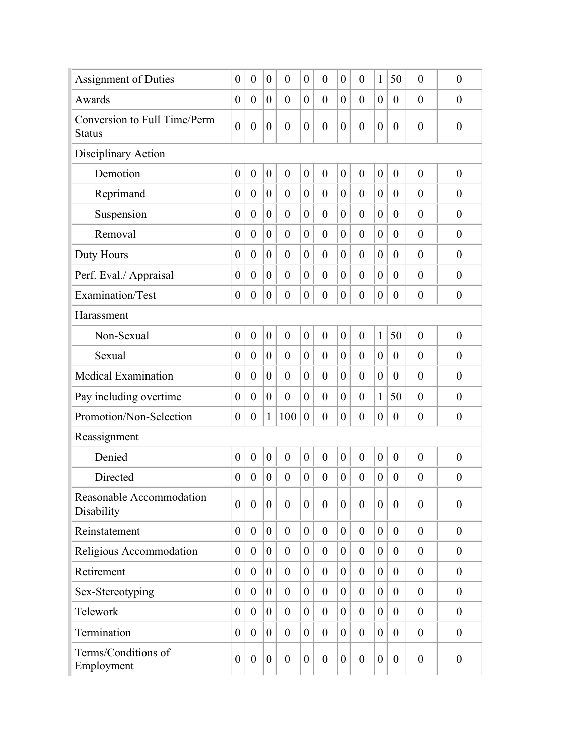| <b>Assignment of Duties</b>                   | $\boldsymbol{0}$ | $\boldsymbol{0}$ | $\boldsymbol{0}$ | $\boldsymbol{0}$ | $\theta$         | $\overline{0}$   | $\boldsymbol{0}$ | $\overline{0}$   | $\mathbf{1}$     | 50               | $\overline{0}$   | $\boldsymbol{0}$ |
|-----------------------------------------------|------------------|------------------|------------------|------------------|------------------|------------------|------------------|------------------|------------------|------------------|------------------|------------------|
| Awards                                        | $\boldsymbol{0}$ | $\boldsymbol{0}$ | $\boldsymbol{0}$ | $\overline{0}$   | $\overline{0}$   | $\overline{0}$   | $\overline{0}$   | $\overline{0}$   | $\boldsymbol{0}$ | $\overline{0}$   | $\overline{0}$   | $\overline{0}$   |
| Conversion to Full Time/Perm<br><b>Status</b> | $\mathbf{0}$     | $\boldsymbol{0}$ | $\boldsymbol{0}$ | $\boldsymbol{0}$ | $\boldsymbol{0}$ | $\boldsymbol{0}$ | $\boldsymbol{0}$ | $\boldsymbol{0}$ | $\boldsymbol{0}$ | $\overline{0}$   | $\overline{0}$   | $\boldsymbol{0}$ |
| Disciplinary Action                           |                  |                  |                  |                  |                  |                  |                  |                  |                  |                  |                  |                  |
| Demotion                                      | $\boldsymbol{0}$ | $\boldsymbol{0}$ | $\boldsymbol{0}$ | $\boldsymbol{0}$ | $\overline{0}$   | $\mathbf{0}$     | $\boldsymbol{0}$ | $\overline{0}$   | $\boldsymbol{0}$ | $\mathbf{0}$     | $\overline{0}$   | $\boldsymbol{0}$ |
| Reprimand                                     | $\boldsymbol{0}$ | $\boldsymbol{0}$ | $\boldsymbol{0}$ | $\overline{0}$   | $\overline{0}$   | $\overline{0}$   | $\overline{0}$   | $\overline{0}$   | $\boldsymbol{0}$ | $\overline{0}$   | $\overline{0}$   | $\overline{0}$   |
| Suspension                                    | $\boldsymbol{0}$ | $\boldsymbol{0}$ | $\boldsymbol{0}$ | $\overline{0}$   | $\overline{0}$   | $\boldsymbol{0}$ | $\overline{0}$   | $\overline{0}$   | $\boldsymbol{0}$ | $\overline{0}$   | $\overline{0}$   | $\overline{0}$   |
| Removal                                       | $\boldsymbol{0}$ | $\overline{0}$   | $\boldsymbol{0}$ | $\overline{0}$   | $\overline{0}$   | $\overline{0}$   | $\theta$         | $\overline{0}$   | $\boldsymbol{0}$ | $\overline{0}$   | $\overline{0}$   | $\overline{0}$   |
| Duty Hours                                    | $\boldsymbol{0}$ | $\overline{0}$   | $\overline{0}$   | $\overline{0}$   | $\overline{0}$   | $\mathbf{0}$     | $\overline{0}$   | $\theta$         | $\overline{0}$   | $\overline{0}$   | $\overline{0}$   | $\overline{0}$   |
| Perf. Eval./ Appraisal                        | $\boldsymbol{0}$ | $\overline{0}$   | $\overline{0}$   | $\theta$         | $\theta$         | $\overline{0}$   | $\overline{0}$   | $\theta$         | $\overline{0}$   | $\overline{0}$   | $\overline{0}$   | $\theta$         |
| Examination/Test                              | $\boldsymbol{0}$ | $\boldsymbol{0}$ | $\boldsymbol{0}$ | $\boldsymbol{0}$ | $\overline{0}$   | $\boldsymbol{0}$ | $\boldsymbol{0}$ | $\overline{0}$   | $\boldsymbol{0}$ | $\overline{0}$   | $\boldsymbol{0}$ | $\boldsymbol{0}$ |
| Harassment                                    |                  |                  |                  |                  |                  |                  |                  |                  |                  |                  |                  |                  |
| Non-Sexual                                    | $\boldsymbol{0}$ | $\boldsymbol{0}$ | $\boldsymbol{0}$ | $\mathbf{0}$     | $\overline{0}$   | $\mathbf{0}$     | $\overline{0}$   | $\overline{0}$   | $\mathbf{1}$     | 50               | $\overline{0}$   | $\overline{0}$   |
| Sexual                                        | $\boldsymbol{0}$ | $\boldsymbol{0}$ | $\boldsymbol{0}$ | $\overline{0}$   | $\overline{0}$   | $\mathbf{0}$     | $\overline{0}$   | $\overline{0}$   | $\boldsymbol{0}$ | $\overline{0}$   | $\overline{0}$   | $\overline{0}$   |
| <b>Medical Examination</b>                    | $\boldsymbol{0}$ | $\theta$         | $\boldsymbol{0}$ | $\overline{0}$   | $\overline{0}$   | $\overline{0}$   | $\overline{0}$   | $\overline{0}$   | $\boldsymbol{0}$ | $\overline{0}$   | $\overline{0}$   | $\overline{0}$   |
| Pay including overtime                        | $\boldsymbol{0}$ | $\boldsymbol{0}$ | $\boldsymbol{0}$ | $\boldsymbol{0}$ | $\overline{0}$   | $\boldsymbol{0}$ | $\overline{0}$   | $\overline{0}$   | $\mathbf{1}$     | 50               | $\overline{0}$   | $\overline{0}$   |
| Promotion/Non-Selection                       | $\boldsymbol{0}$ | $\boldsymbol{0}$ | $\mathbf{1}$     | 100              | $\overline{0}$   | $\boldsymbol{0}$ | $\boldsymbol{0}$ | $\overline{0}$   | $\boldsymbol{0}$ | $\overline{0}$   | $\boldsymbol{0}$ | $\overline{0}$   |
| Reassignment                                  |                  |                  |                  |                  |                  |                  |                  |                  |                  |                  |                  |                  |
| Denied                                        | $\boldsymbol{0}$ | $\boldsymbol{0}$ | $\boldsymbol{0}$ | $\overline{0}$   | $\overline{0}$   | $\boldsymbol{0}$ | $\boldsymbol{0}$ | $\overline{0}$   | $\boldsymbol{0}$ | $\boldsymbol{0}$ | $\overline{0}$   | $\overline{0}$   |
| Directed                                      | $\boldsymbol{0}$ | $\boldsymbol{0}$ | $\boldsymbol{0}$ | $\boldsymbol{0}$ | $\overline{0}$   | $\boldsymbol{0}$ | $\theta$         | $\theta$         | $\overline{0}$   | $\overline{0}$   | $\boldsymbol{0}$ | $\boldsymbol{0}$ |
| Reasonable Accommodation<br>Disability        | $\overline{0}$   | $\boldsymbol{0}$ | $\boldsymbol{0}$ | $\overline{0}$   | $\boldsymbol{0}$ | $\boldsymbol{0}$ | $\boldsymbol{0}$ | $\theta$         | $\boldsymbol{0}$ | $\overline{0}$   | $\overline{0}$   | $\theta$         |
| Reinstatement                                 | $\boldsymbol{0}$ | $\mathbf{0}$     | $\boldsymbol{0}$ | $\mathbf{0}$     | $\overline{0}$   | $\overline{0}$   | $\overline{0}$   | $\overline{0}$   | $\boldsymbol{0}$ | $\overline{0}$   | $\theta$         | $\theta$         |
| Religious Accommodation                       | $\boldsymbol{0}$ | $\mathbf{0}$     | $\boldsymbol{0}$ | $\overline{0}$   | $\overline{0}$   | $\overline{0}$   | $\overline{0}$   | $\overline{0}$   | $\overline{0}$   | $\overline{0}$   | $\theta$         | $\boldsymbol{0}$ |
| Retirement                                    | $\theta$         | $\overline{0}$   | $\overline{0}$   | $\theta$         | $\theta$         | $\theta$         | $\theta$         | $\overline{0}$   | $\overline{0}$   | $\overline{0}$   | $\theta$         | $\theta$         |
| Sex-Stereotyping                              | $\overline{0}$   | $\mathbf{0}$     | $\overline{0}$   | $\overline{0}$   | $\overline{0}$   | $\overline{0}$   | $\overline{0}$   | $\overline{0}$   | $\overline{0}$   | $\overline{0}$   | $\boldsymbol{0}$ | $\boldsymbol{0}$ |
| Telework                                      | $\overline{0}$   | $\theta$         | $\overline{0}$   | $\theta$         | $\overline{0}$   | $\overline{0}$   | $\overline{0}$   | $\overline{0}$   | $\mathbf{0}$     | $\overline{0}$   | $\theta$         | $\theta$         |
| Termination                                   | $\overline{0}$   | $\theta$         | $\overline{0}$   | $\overline{0}$   | $\overline{0}$   | $\overline{0}$   | $\theta$         | $\overline{0}$   | $\mathbf{0}$     | $\overline{0}$   | $\boldsymbol{0}$ | $\theta$         |
| Terms/Conditions of<br>Employment             | $\boldsymbol{0}$ | $\boldsymbol{0}$ | $\boldsymbol{0}$ | $\boldsymbol{0}$ | $\overline{0}$   | $\boldsymbol{0}$ | $\boldsymbol{0}$ | $\overline{0}$   | $\boldsymbol{0}$ | $\overline{0}$   | $\boldsymbol{0}$ | $\boldsymbol{0}$ |